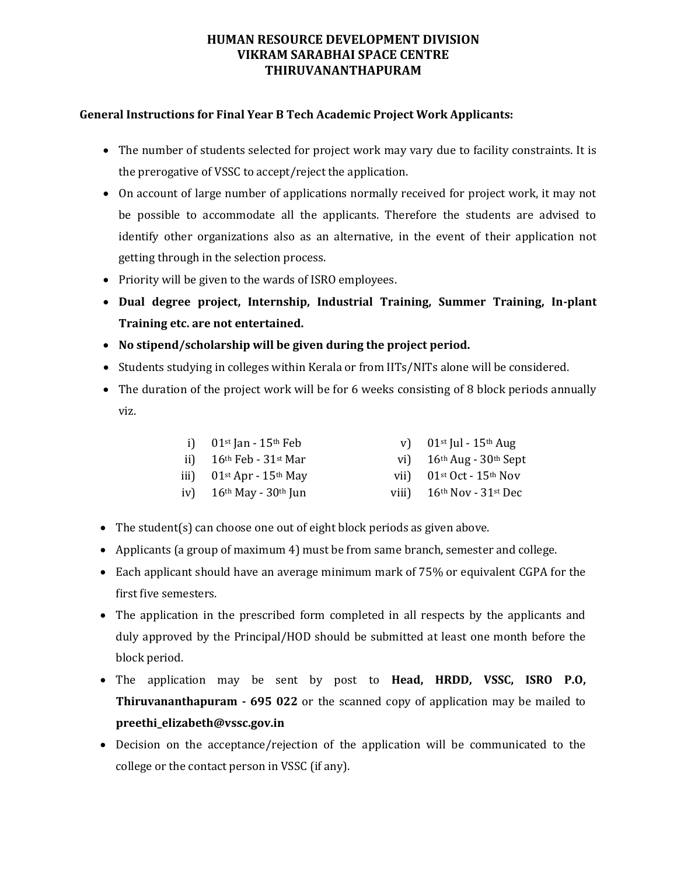## **HUMAN RESOURCE DEVELOPMENT DIVISION VIKRAM SARABHAI SPACE CENTRE THIRUVANANTHAPURAM**

## **General Instructions for Final Year B Tech Academic Project Work Applicants:**

- The number of students selected for project work may vary due to facility constraints. It is the prerogative of VSSC to accept/reject the application.
- On account of large number of applications normally received for project work, it may not be possible to accommodate all the applicants. Therefore the students are advised to identify other organizations also as an alternative, in the event of their application not getting through in the selection process.
- Priority will be given to the wards of ISRO employees.
- **Dual degree project, Internship, Industrial Training, Summer Training, In-plant Training etc. are not entertained.**
- **No stipend/scholarship will be given during the project period.**
- Students studying in colleges within Kerala or from IITs/NITs alone will be considered.
- The duration of the project work will be for 6 weeks consisting of 8 block periods annually viz.

| i) $01st$ Jan - $15th$ Feb                           | v) $01^{st}$ Jul - $15^{th}$ Aug   |
|------------------------------------------------------|------------------------------------|
| ii) $16th$ Feb - 31st Mar                            | vi) $16th Aug - 30th Sept$         |
| iii) $01$ <sup>st</sup> Apr - $15$ <sup>th</sup> May | vii) $01^{st}$ Oct - $15^{th}$ Nov |
| iv) $16th$ May - $30th$ Jun                          | viii) $16th Nov - 31st Dec$        |

- The student(s) can choose one out of eight block periods as given above.
- Applicants (a group of maximum 4) must be from same branch, semester and college.
- Each applicant should have an average minimum mark of 75% or equivalent CGPA for the first five semesters.
- The application in the prescribed form completed in all respects by the applicants and duly approved by the Principal/HOD should be submitted at least one month before the block period.
- The application may be sent by post to **Head, HRDD, VSSC, ISRO P.O, Thiruvananthapuram - 695 022** or the scanned copy of application may be mailed to **preethi\_elizabeth@vssc.gov.in**
- Decision on the acceptance/rejection of the application will be communicated to the college or the contact person in VSSC (if any).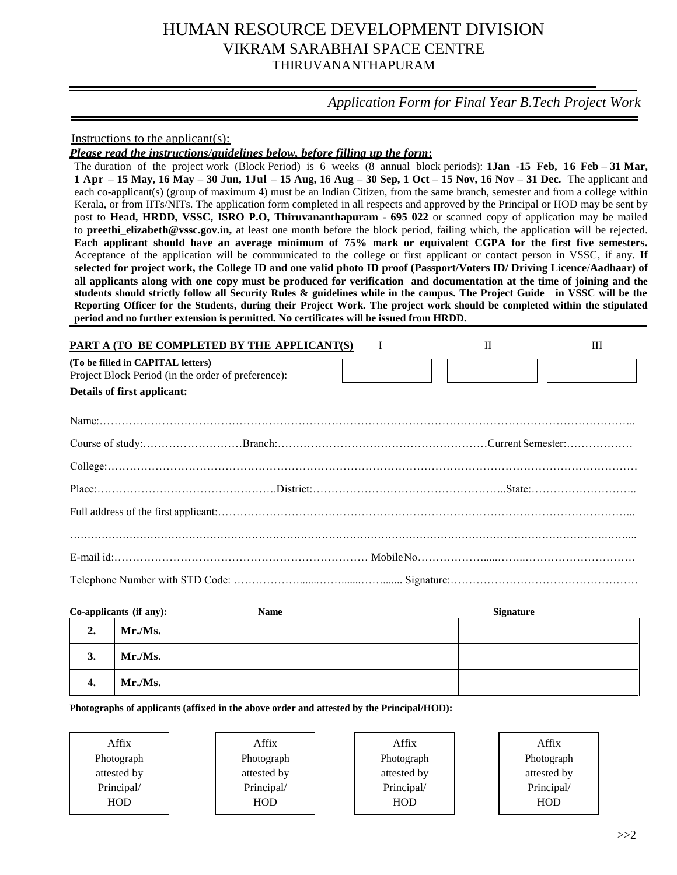# HUMAN RESOURCE DEVELOPMENT DIVISION VIKRAM SARABHAI SPACE CENTRE THIRUVANANTHAPURAM

*Application Form for Final Year B.Tech Project Work*

Instructions to the applicant(s):

*Please read the instructions/guidelines below, before filling up the form***:**

The duration of the project work (Block Period) is 6 weeks (8 annual block periods): **1Jan -15 Feb, 16 Feb – 31 Mar, 1 Apr – 15 May, 16 May – 30 Jun, 1Jul – 15 Aug, 16 Aug – 30 Sep, 1 Oct – 15 Nov, 16 Nov – 31 Dec.** The applicant and each co-applicant(s) (group of maximum 4) must be an Indian Citizen, from the same branch, semester and from a college within Kerala, or from IITs/NITs. The application form completed in all respects and approved by the Principal or HOD may be sent by post to **Head, HRDD, VSSC, ISRO P.O, Thiruvananthapuram - 695 022** or scanned copy of application may be mailed to **preethi elizabeth@vssc.gov.in,** at least one month before the block period, failing which, the application will be rejected. **Each applicant should have an average minimum of 75% mark or equivalent CGPA for the first five semesters.**  Acceptance of the application will be communicated to the college or first applicant or contact person in VSSC, if any. **If selected for project work, the College ID and one valid photo ID proof (Passport/Voters ID/ Driving Licence**/**Aadhaar) of all applicants along with one copy must be produced for verification and documentation at the time of joining and the students should strictly follow all Security Rules & guidelines while in the campus. The Project Guide in VSSC will be the Reporting Officer for the Students, during their Project Work. The project work should be completed within the stipulated period and no further extension is permitted. No certificates will be issued from HRDD.**

| PART A (TO BE COMPLETED BY THE APPLICANT(S)                                             | $\mathbf{I}$ | Ш |
|-----------------------------------------------------------------------------------------|--------------|---|
| (To be filled in CAPITAL letters)<br>Project Block Period (in the order of preference): |              |   |
| Details of first applicant:                                                             |              |   |
|                                                                                         |              |   |
|                                                                                         |              |   |
|                                                                                         |              |   |
|                                                                                         |              |   |
|                                                                                         |              |   |
|                                                                                         |              |   |
|                                                                                         |              |   |
|                                                                                         |              |   |

| Co-applicants (if any): |         | <b>Name</b> | <b>Signature</b> |  |  |
|-------------------------|---------|-------------|------------------|--|--|
| 2.                      | Mr./Ms. |             |                  |  |  |
| 3.                      | Mr./Ms. |             |                  |  |  |
| 4.                      | Mr.Ms.  |             |                  |  |  |

**Photographs of applicants (affixed in the above order and attested by the Principal/HOD):**

Affix Photograph attested by Principal/ HOD

Affix Photograph attested by Principal/ HOD

Affix Photograph attested by Principal/ HOD

Affix Photograph attested by Principal/ HOD